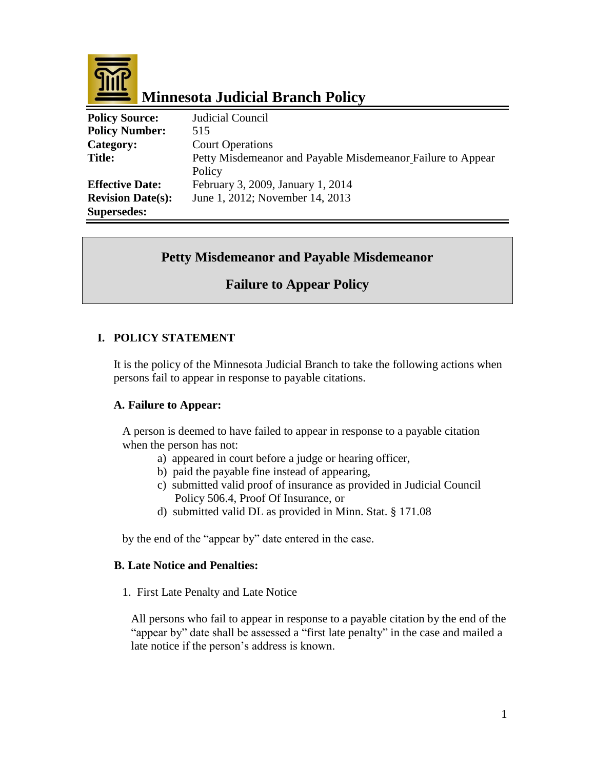

# **Minnesota Judicial Branch Policy**

| <b>Policy Source:</b>    | Judicial Council                                            |
|--------------------------|-------------------------------------------------------------|
| <b>Policy Number:</b>    | 515                                                         |
| Category:                | <b>Court Operations</b>                                     |
| <b>Title:</b>            | Petty Misdemeanor and Payable Misdemeanor Failure to Appear |
|                          | Policy                                                      |
| <b>Effective Date:</b>   | February 3, 2009, January 1, 2014                           |
| <b>Revision Date(s):</b> | June 1, 2012; November 14, 2013                             |
| <b>Supersedes:</b>       |                                                             |

# **Petty Misdemeanor and Payable Misdemeanor**

# **Failure to Appear Policy**

# **I. POLICY STATEMENT**

It is the policy of the Minnesota Judicial Branch to take the following actions when persons fail to appear in response to payable citations.

# **A. Failure to Appear:**

A person is deemed to have failed to appear in response to a payable citation when the person has not:

- a) appeared in court before a judge or hearing officer,
- b) paid the payable fine instead of appearing,
- c) submitted valid proof of insurance as provided in Judicial Council Policy 506.4, Proof Of Insurance, or
- d) submitted valid DL as provided in Minn. Stat. § 171.08

by the end of the "appear by" date entered in the case.

#### **B. Late Notice and Penalties:**

1. First Late Penalty and Late Notice

All persons who fail to appear in response to a payable citation by the end of the "appear by" date shall be assessed a "first late penalty" in the case and mailed a late notice if the person's address is known.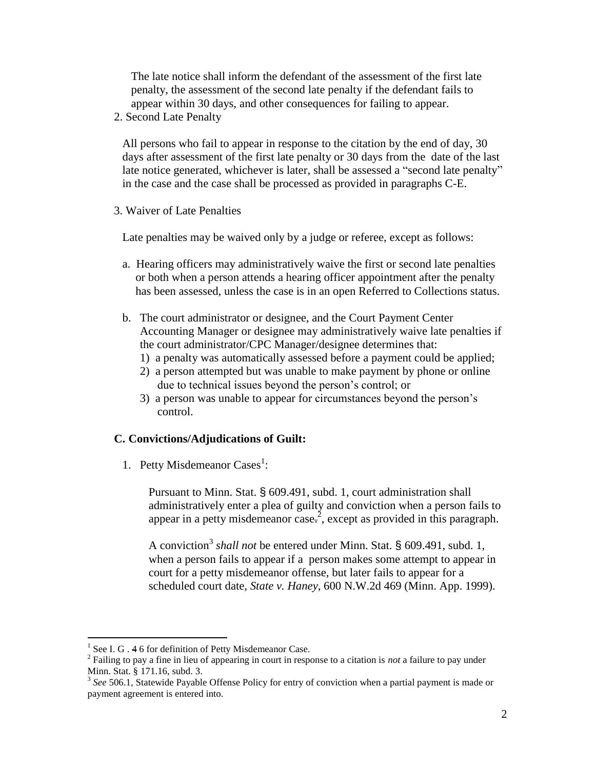The late notice shall inform the defendant of the assessment of the first late penalty, the assessment of the second late penalty if the defendant fails to appear within 30 days, and other consequences for failing to appear.

2. Second Late Penalty

All persons who fail to appear in response to the citation by the end of day, 30 days after assessment of the first late penalty or 30 days from the date of the last late notice generated, whichever is later, shall be assessed a "second late penalty" in the case and the case shall be processed as provided in paragraphs C-E.

3. Waiver of Late Penalties

Late penalties may be waived only by a judge or referee, except as follows:

- a. Hearing officers may administratively waive the first or second late penalties or both when a person attends a hearing officer appointment after the penalty has been assessed, unless the case is in an open Referred to Collections status.
- b. The court administrator or designee, and the Court Payment Center Accounting Manager or designee may administratively waive late penalties if the court administrator/CPC Manager/designee determines that:
	- 1) a penalty was automatically assessed before a payment could be applied;
	- 2) a person attempted but was unable to make payment by phone or online due to technical issues beyond the person's control; or
	- 3) a person was unable to appear for circumstances beyond the person's control.

#### **C. Convictions/Adjudications of Guilt:**

1. Petty Misdemeanor Cases<sup>1</sup>:

Pursuant to Minn. Stat. § 609.491, subd. 1, court administration shall administratively enter a plea of guilty and conviction when a person fails to appear in a petty misdemeanor case.<sup>2</sup>, except as provided in this paragraph.

A conviction<sup>3</sup> shall not be entered under Minn. Stat. § 609.491, subd. 1, when a person fails to appear if a person makes some attempt to appear in court for a petty misdemeanor offense, but later fails to appear for a scheduled court date, *State v. Haney*, 600 N.W.2d 469 (Minn. App. 1999).

 $\overline{a}$ 

<sup>&</sup>lt;sup>1</sup> See I. G . 4 6 for definition of Petty Misdemeanor Case.

<sup>2</sup> Failing to pay a fine in lieu of appearing in court in response to a citation is *not* a failure to pay under Minn. Stat. § 171.16, subd. 3.

<sup>&</sup>lt;sup>3</sup> See 506.1, Statewide Payable Offense Policy for entry of conviction when a partial payment is made or payment agreement is entered into.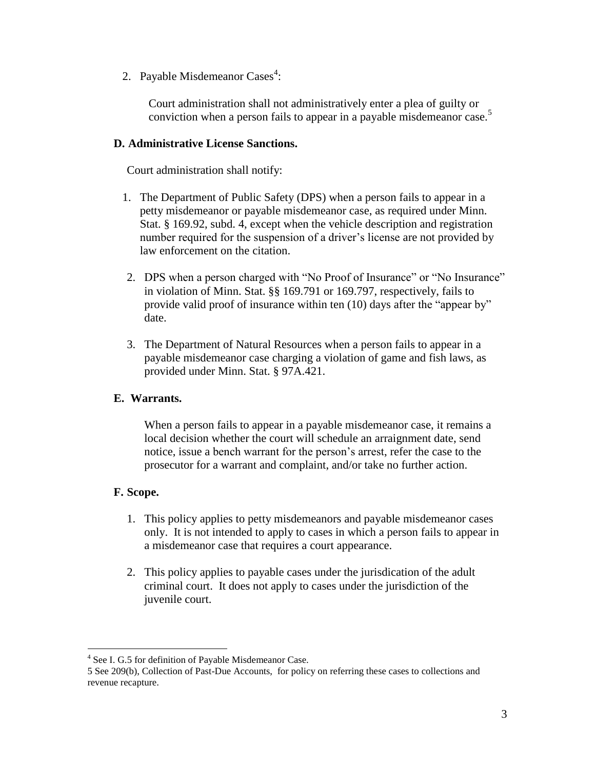2. Payable Misdemeanor Cases<sup>4</sup>:

Court administration shall not administratively enter a plea of guilty or conviction when a person fails to appear in a payable misdemeanor case.<sup>5</sup>

#### **D. Administrative License Sanctions.**

Court administration shall notify:

- 1. The Department of Public Safety (DPS) when a person fails to appear in a petty misdemeanor or payable misdemeanor case, as required under Minn. Stat. § 169.92, subd. 4, except when the vehicle description and registration number required for the suspension of a driver's license are not provided by law enforcement on the citation.
- 2. DPS when a person charged with "No Proof of Insurance" or "No Insurance" in violation of Minn. Stat. §§ 169.791 or 169.797, respectively, fails to provide valid proof of insurance within ten (10) days after the "appear by" date.
- 3. The Department of Natural Resources when a person fails to appear in a payable misdemeanor case charging a violation of game and fish laws, as provided under Minn. Stat. § 97A.421.

# **E. Warrants.**

When a person fails to appear in a payable misdemeanor case, it remains a local decision whether the court will schedule an arraignment date, send notice, issue a bench warrant for the person's arrest, refer the case to the prosecutor for a warrant and complaint, and/or take no further action.

# **F. Scope.**

 $\overline{a}$ 

- 1. This policy applies to petty misdemeanors and payable misdemeanor cases only. It is not intended to apply to cases in which a person fails to appear in a misdemeanor case that requires a court appearance.
- 2. This policy applies to payable cases under the jurisdication of the adult criminal court. It does not apply to cases under the jurisdiction of the juvenile court.

<sup>&</sup>lt;sup>4</sup> See I. G.5 for definition of Payable Misdemeanor Case.

<sup>5</sup> See [209\(b\), Collection of Past-Due Accounts,](http://courtnet.courts.state.mn.us/Documents/100/docs/Human_Resources/Collection_of_Past_Due_Accounts_2010.doc) for policy on referring these cases to collections and revenue recapture.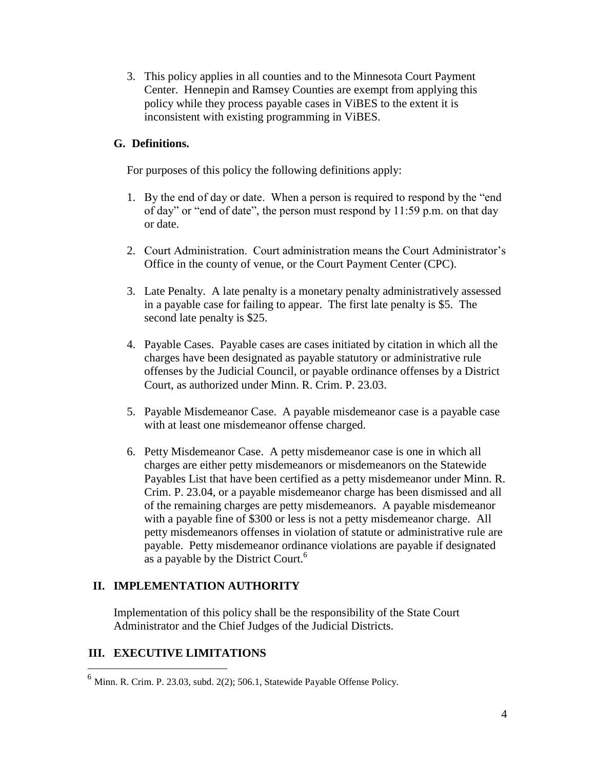3. This policy applies in all counties and to the Minnesota Court Payment Center. Hennepin and Ramsey Counties are exempt from applying this policy while they process payable cases in ViBES to the extent it is inconsistent with existing programming in ViBES.

# **G. Definitions.**

For purposes of this policy the following definitions apply:

- 1. By the end of day or date. When a person is required to respond by the "end of day" or "end of date", the person must respond by  $11:59$  p.m. on that day or date.
- 2. Court Administration. Court administration means the Court Administrator's Office in the county of venue, or the Court Payment Center (CPC).
- 3. Late Penalty. A late penalty is a monetary penalty administratively assessed in a payable case for failing to appear. The first late penalty is \$5. The second late penalty is \$25.
- 4. Payable Cases. Payable cases are cases initiated by citation in which all the charges have been designated as payable statutory or administrative rule offenses by the Judicial Council, or payable ordinance offenses by a District Court, as authorized under Minn. R. Crim. P. 23.03.
- 5. Payable Misdemeanor Case. A payable misdemeanor case is a payable case with at least one misdemeanor offense charged.
- 6. Petty Misdemeanor Case. A petty misdemeanor case is one in which all charges are either petty misdemeanors or misdemeanors on the Statewide Payables List that have been certified as a petty misdemeanor under Minn. R. Crim. P. 23.04, or a payable misdemeanor charge has been dismissed and all of the remaining charges are petty misdemeanors. A payable misdemeanor with a payable fine of \$300 or less is not a petty misdemeanor charge. All petty misdemeanors offenses in violation of statute or administrative rule are payable. Petty misdemeanor ordinance violations are payable if designated as a payable by the District Court.<sup>6</sup>

# **II. IMPLEMENTATION AUTHORITY**

Implementation of this policy shall be the responsibility of the State Court Administrator and the Chief Judges of the Judicial Districts.

# **III. EXECUTIVE LIMITATIONS**

 $\overline{a}$ 

 $^6$  Minn. R. Crim. P. 23.03, subd. 2(2); 506.1, Statewide Payable Offense Policy.